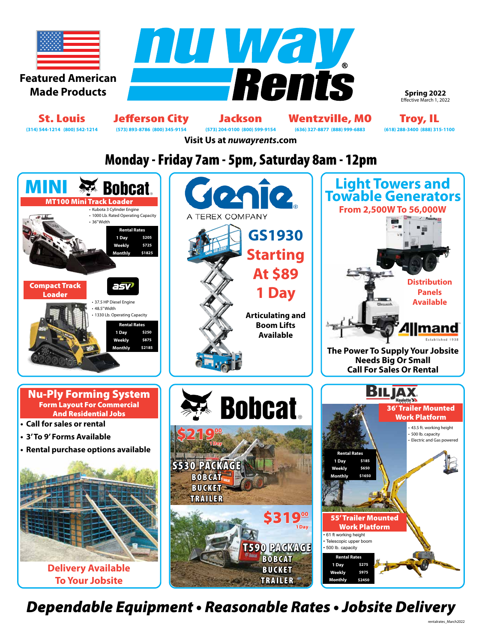

**Spring 2022** Effective March 1, 2022

St. Louis Jefferson City Jackson Wentzville, MO Troy, IL<br>
(314) 544-1214 (800) 542-1214 (573) 893-8786 (800) 345-9154 (573) 204-0100 (800) 599-9154 (636) 327-8877 (888) 999-6883 (618) 288-3400 (888) 315-1100 **(314) 544-1214 (800) 542-1214 (573) 893-8786 (800) 345-9154 (573) 204-0100 (800) 599-9154 (636) 327-8877 (888) 999-6883 (618) 288-3400 (888) 315-1100**

**Visit Us at** *nuwayrents***.com**

# Monday - Friday 7am - 5pm, Saturday 8am - 12pm



*Dependable Equipment • Reasonable Rates • Jobsite Delivery*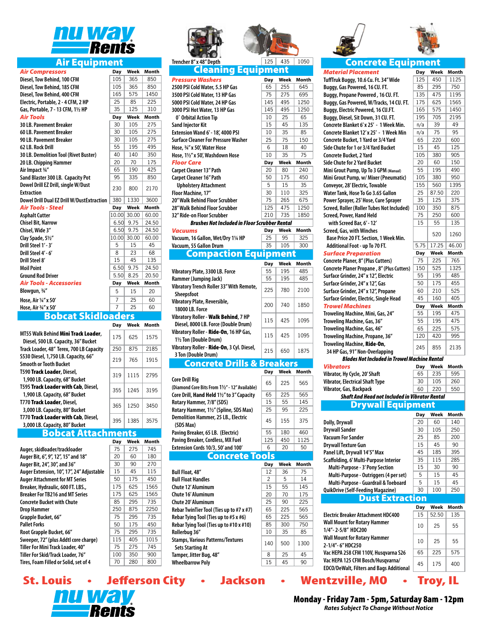

### Air Equipment

| <b>Air Compressors</b>                                   | Day   | Week  | <b>Month</b> |
|----------------------------------------------------------|-------|-------|--------------|
| Diesel, Tow Behind, 100 CFM                              | 105   | 365   | 850          |
| Diesel, Tow Behind, 185 CFM                              | 105   | 365   | 850          |
| Diesel, Tow Behind, 400 CFM                              | 165   | 575   | 1450         |
| Electric, Portable, 2 - 4 CFM, 2 HP                      | 25    | 85    | 225          |
| Gas, Portable, 7 - 13 CFM, 11/2 HP                       | 35    | 125   | 310          |
| <b>Air Tools</b>                                         | Day   | Week  | <b>Month</b> |
| <b>30 LB. Pavement Breaker</b>                           | 30    | 105   | 275          |
| 60 LB. Pavement Breaker                                  | 30    | 105   | 275          |
| 90 LB. Pavement Breaker                                  | 30    | 105   | 275          |
| 62 LB. Rock Drill                                        | 55    | 195   | 495          |
| 30 LB. Demolition Tool (Rivet Buster)                    | 40    | 140   | 350          |
| 20 LB. Chipping Hammer                                   | 20    | 70    | 175          |
| Air Impact 3/4"                                          | 65    | 190   | 425          |
| Sand Blaster 300 LB. Capacity Pot                        | 95    | 335   | 850          |
| Dowel Drill EZ Drill, single W/Dust<br><b>Extraction</b> | 230   | 800   | 2170         |
|                                                          |       |       |              |
| <b>Dowel Drill Dual EZ Drill W/DustExtraction</b>        | 380   | 1330  | 3600         |
| <b>Air Tools - Steel</b>                                 | Day   | Week  | Month        |
| <b>Asphalt Cutter</b>                                    | 10.00 | 30.00 | 60.00        |
| <b>Chisel Bit, Narrow</b>                                | 6.50  | 9.75  | 24.50        |
| Chisel, Wide 3"                                          | 6.50  | 9.75  | 24.50        |
| Clay Spade, 51/2"                                        | 10.00 | 30.00 | 60.00        |
| Drill Steel 1' - 3'                                      | 5     | 15    | 45           |
| Drill Steel 4' - 6'                                      | 8     | 23    | 68           |
| Drill Steel 8'                                           | 15    | 45    | 135          |
| <b>Moil Point</b>                                        | 6.50  | 9.75  | 24.50        |
| <b>Ground Rod Driver</b>                                 | 5.50  | 8.25  | 20.50        |
| <b>Air Tools - Accessories</b>                           | Day   | Week  | <b>Month</b> |
| Blowgun, 3/4"                                            | 5     | 15    | 20           |
| Hose, Air 1/4" x 50'                                     | 7     | 25    | 60           |
| Hose, Air 3/4" x 50'                                     | 7     | 25    | 60           |

|                                                                             | Day | Week | Month |
|-----------------------------------------------------------------------------|-----|------|-------|
| MT55 Walk Behind Mini Track Loader,<br>Diesel, 500 LB. Capacity, 36" Bucket | 175 | 625  | 1575  |
| Track Loader, 48" Terex, 700 LB Capacity                                    | 250 | 875  | 2185  |
| S530 Diesel, 1,750 LB. Capacity, 66"<br>Smooth or Tooth Bucket              | 219 | 765  | 1915  |
| T590 <b>Track Loader</b> , Diesel,<br>1,900 LB. Capacity, 68" Bucket        | 319 | 1115 | 2795  |
| T595 Track Loader with Cab, Diesel,<br>1,900 LB. Capacity, 68" Bucket       | 355 | 1245 | 3195  |
| T770 Track Loader, Diesel,<br>3,000 LB. Capacity, 80" Bucket                | 365 | 1250 | 3450  |
| T770 Track Loader with Cab, Diesel,<br>3,000 LB. Capacity, 80" Bucket       | 395 | 1385 | 3575  |
|                                                                             |     |      |       |

# Bobcat Attachments<br><sup>Dav Week</sup>

**Day Week Month**

**Stamps, Various Patterns/Textures**

**Sets Starting At** 140 500 1300 **Tamper, Jitter Bug, 48"** 8 | 25 | 45 **Wheelbarrow Poly** 15 45 90

|                                           | vay | weer | MUNICI |
|-------------------------------------------|-----|------|--------|
| Auger, skidloader/trackloader             | 75  | 275  | 745    |
| Auger Bit, 6", 9", 12", 15" and 18"       | 20  | 60   | 180    |
| Auger Bit, 24", 30", and 36"              | 30  | 90   | 270    |
| Auger Extension, 10", 17", 24" Adjustable | 15  | 45   | 115    |
| Auger Attachment for MT Series            | 50  | 175  | 450    |
| Breaker, Hydraulic, 600 FT. LBS.,         | 175 | 625  | 1565   |
| <b>Breaker For TB216 and MT Series</b>    | 175 | 625  | 1565   |
| Concrete Bucket with Chute                | 85  | 295  | 735    |
| Drop Hammer                               | 250 | 875  | 2250   |
| Grapple Bucket, 66"                       | 75  | 295  | 735    |
| <b>Pallet Forks</b>                       | 50  | 175  | 450    |
| Root Grapple Bucket, 66"                  | 75  | 295  | 735    |
| Sweeper, 72" (plus Addtl core charge)     | 115 | 405  | 1015   |
| Tiller For Mini Track Loader, 40″         | 75  | 275  | 745    |
| Tiller For Skid/Track Loader, 76″         | 100 | 350  | 900    |
| Tires, Foam Filled or Solid, set of 4     | 70  | 280  | 800    |
|                                           |     |      |        |







| <b>Pressure Washers</b>                                  | <b>Day</b>     | Week      | Month     |
|----------------------------------------------------------|----------------|-----------|-----------|
| 2500 PSI Cold Water, 5.5 HP Gas                          | 65             | 255       | 645       |
| 3500 PSI Cold Water, 13 HP Gas                           | 75             | 275       | 695       |
| 5000 PSI Cold Water, 24 HP Gas                           | 145            | 495       | 1250      |
| 3000 PSI Hot Water, 13 HP Gas                            | 145            | 495       | 1250      |
| 0° Orbital Action Tip                                    | 10             | 25        | 65        |
| <b>Sand Injector Kit</b>                                 | 15             | 45        | 135       |
| Extension Wand 6' - 18', 4000 PSI                        | 10             | 35        | 85        |
| <b>Surface Cleaner For Pressure Washer</b>               | 25             | 75        | 150       |
| Hose, 3/4" x 50', Water Hose                             | 6              | 18        | 40        |
| Hose, 11/2" x 50', Washdown Hose                         | 10             | 35        | 75        |
| <b>Floor Care</b>                                        | Day            | Week      | Month     |
|                                                          | 20             | 80        | 240       |
| Carpet Cleaner 13" Path                                  | 50             | 175       | 450       |
| Carpet Cleaner 16" Path                                  | 5              | 15        | 35        |
| <b>Upholstery Attachment</b>                             |                |           |           |
| Floor Machine, 17"                                       | 30             | 110       | 325       |
| 20" Walk Behind Floor Scrubber                           | 75             | 265       | 675       |
| 28" Walk Behind Floor Scrubber                           | 125            | 475       | 1250      |
| 32" Ride-on Floor Scrubber                               | 210            | 735       | 1850      |
| <b>Brushes Not Included in Floor Scrubber Rental</b>     |                |           |           |
| <b>Vacuums</b>                                           | <b>Day</b>     | Week      | Month     |
| Vacuum, 16 Gallon, Wet/Dry 11/4 HP                       | 25             | 95        | 325       |
| Vacuum, 55 Gallon Drum                                   | 35             | 105       | 300       |
| <b>Compaction Equipment</b>                              |                |           |           |
|                                                          | Day            | Week      | Month     |
| Vibratory Plate, 3300 LB. Force                          | 55             | 195       | 485       |
| Rammer (Jumping Jack)                                    | 55             | 195       | 485       |
| Vibratory Trench Roller 33" With Remote,                 |                |           |           |
| Sheepsfoot                                               | 225            | 780       | 2100      |
| Vibratory Plate, Reversible,                             |                |           |           |
| <b>18000 LB. Force</b>                                   | 200            | 740       | 1850      |
| Vibratory Roller - Walk Behind, 7 HP                     |                |           |           |
|                                                          | 115            | 425       | 1095      |
| Diesel, 8000 LB. Force (Double Drum)                     |                |           |           |
| Vibratory Roller - Ride-On, 16 HP Gas,                   | 115            | 425       | 1095      |
| 11/2 Ton (Double Drum)                                   |                |           |           |
| Vibratory Roller - Ride-On, 3 Cyl. Diesel,               | 215            | 650       | 1875      |
| 3 Ton (Double Drum)                                      |                |           |           |
| <b>Concrete Drills &amp; Breakers</b>                    |                |           |           |
|                                                          | <b>Day</b>     | Week      | Month     |
| <b>Core Drill Rig</b>                                    |                |           |           |
| (Diamond Core Bits From 11/2" - 12" Available)           | 65             | 225       | 565       |
| Core Drill, Hand Held 11/2" to 3" Capacity               | 65             | 225       | 565       |
| Rotary Hammer, 7/8" (SDS)                                | 15             | 55        | 145       |
| Rotary Hammer, 11/2" (Spline, SDS Max)                   | 25             | 95        | 225       |
| <b>Demolition Hammer, 25 LB., Electric</b>               |                |           |           |
| (SDS Max)                                                |                |           | 375       |
|                                                          | 45             | 155       |           |
|                                                          |                |           |           |
| Paving Breaker, 65 LB. (Electric)                        | 55             | 180       | 460       |
| Paving Breaker, Cordless, MX Fuel                        | 125            | 450       | 1125      |
| Extension Cords 10/3, 50' and 100'                       | 6              | 20        | 50        |
| <b>Concrete Tools</b>                                    |                |           |           |
|                                                          | Day            | Week      | Month     |
| <b>Bull Float, 48"</b>                                   | 12             | 36        | 75        |
| <b>Bull Float Handles</b>                                | $\overline{c}$ | 5         | 14        |
| Chute 12' Aluminum                                       | 15             | 55        |           |
|                                                          |                |           | 145       |
| Chute 16' Aluminum                                       | 20             | 70        | 175       |
| Chute 20' Aluminum                                       | 25             | 90        | 225       |
| Rebar TwinTier Tool (Ties up to #7 x #7)                 | 65             | 225       | 565       |
| Rebar Tying Tool (Ties up to #5 x #6)                    | 65             | 225       | 565       |
| Rebar Tying Tool (Ties up to #10 x #10)<br>Rollerbua 36" | 85<br>10       | 300<br>35 | 750<br>85 |



*Material Placement* **Day Week Month 10.6 Cu. Ft. 34" Wide** 125 450 1125 **Buggy Rened, 16 CU. FT.**  $\begin{array}{|c|c|c|c|c|} \hline \text{85} & \text{295} & \text{750} \ \hline \end{array}$ **Powered , 16 CU. FT.** 135 475 1195 **Buggy, Buggy, Buggy, Buggy, 25, 1965**<br>**Buyered, 16 CU.FT.** [165] [575] [1450] **Powered, 16 CU.FT.** 165 575 1450 **It Down, 31 CU. FT.** 195 705 2195 **Concrete Blanket 6' x 25' - 1 Week Min.** n/a 39 49 **Concrete Blanket 12' x 25' - 1 Week Min** n/a 75 95 **Concrete Bucket, 1 Yard or 3/4 Yard** 65 220 600 **or 3/4 Yard Bucket 15 45 125**<br>2 **Yard** 105 380 905 **Concrete Bucket, 2 Yard** 105 | 380 | 905 **Side Chute for 2 Yard Bucket** 20 60 150 **p, Up To 3 GPM** (Manual)  $\begin{array}{|c|c|c|c|c|} \hline \textbf{55} & 195 & 490 \hline \end{array}$ **p, w/ Mixer (Pneumatic)** 105 380 950<br>**ectric, Towable** 155 560 1395 **ectric, Towable e To Go 3.65 Gallon** 25 87.50 220 **Power Sprayer, 25' Hose, Cure Sprayer** 35 125 375 **France (Roller Tubes Not Included)** 100 350 875<br>Jand Held **Solution 125 ar, 6' - 12'** 15 | 55 | 135 **Screed, Gas, with Winches Base Price 20 FT. Section, 1 Week Min.** <sup>520</sup> <sup>1260</sup> t - up To 70 FT. *Surface Preparation* **Day Week Month 8" (Plus Cutters)** 75 | 225 | 765 **Propane , 8" (Plus Cutters)** 150 525 1325 **24" x 12", Electric**  $\begin{array}{|c|c|c|c|c|} \hline 55 & 195 & 485 \\ \hline 24 \text{ m} & 12 \text{ m} & 50 & 175 & 455 \\ \hline \end{array}$ **Surface Grinder, 24" x 12", Gas** 50 175 455 **24" x 12", Propane** | 60 | 210 | 525 **Electric, Single Head** 45 160 405 *Trowel Machines* **Day Week Month Trowelling Machine, Mini, Gas, 24"** 55 195 475 **Trophery Gas, 36"**  $\begin{array}{|c|c|c|c|} \hline \textbf{55} & 195 & 475 \\\hline \end{array}$ **Triangle Marson Contracts Figure 1** 65 225 575 **Trome, Propane, 36"** 120 420 995 **Troweling Machine,** Ride-On**, 34 HP Gas, 91" Non-Overlapping** <sup>245</sup> <sup>855</sup> <sup>2135</sup> *Blades Not Included in Trowel Machine Rental Vibrators* **Day Week Month e, 20' Shaft**<br>**Cal Shaft Type** 85 260 260 30 105 260 **Zal Shaft Type Vibrator, Gas, Backpack** 60 220 550 *Shaft And Head not Included in Vibrator Rental* rywall Equipment **Day Week Month Dolly, Drywall Contract 140 Drywall Sander 105 250 Vacuum For Sander** 25 85 200 **Drywall Texture Gun** 15 45 90 **Pall 14'5" Max** 45 | 185 | 395 **Scaffolding, 6' Multi-Purpose Interior** 35 115 285 **15** | 30 | 90 **- 3' Pony Section - Outriggers (4 per set)**  $\begin{array}{|c|c|c|c|} \hline 5 & 15 & 45 \\ \hline \end{array}$ **- Guardrail & Toeboard** 5 15 45 **Example 100 Feeding Magazine)** 30 100 250 Dust Extraction **Day Week Month Attachment HDC400** 15 52.50 135 **Watary Hammer 1/4"-2-5/8" HDC200** 1/4"-2-5/8" NDC200 **Wall Mount for Rotary Hammer 2-1/4"- 6" HDC250** <sup>10</sup> <sup>25</sup> <sup>55</sup>

St. Louis • Jefferson City • Jackson • Wentzville, MO • Troy, IL **TITI***NA* Rents

Monday - Friday 7am - 5pm, Saturday 8am - 12pm *Rates Subject To Change Without Notice*

**Vac HEPA 125 CFM Bosch/Husqvarna/**

**Vac HEPA 258 CFM 110V, Husqvarna S26** 65 225 35

**EDCO/DeWalt, Filters and Bags Additional** 45 175 400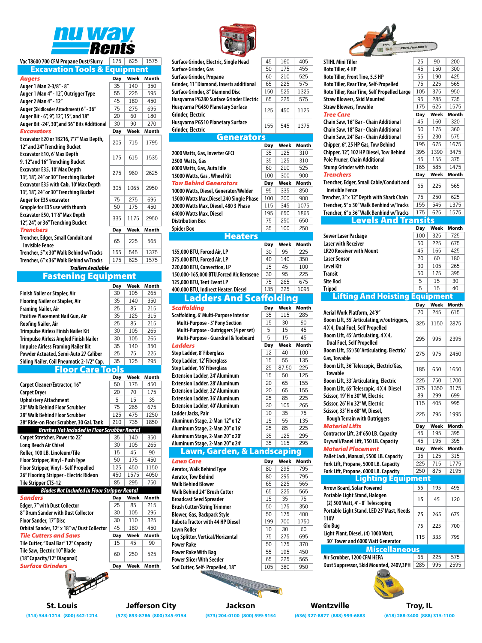

## **Vac T8600 700 CFM Propane Dust/Slurry** 175 625 1575

| <b>Excavation Tools &amp; Equipment</b>                      |     |      |              |
|--------------------------------------------------------------|-----|------|--------------|
| <b>Augers</b>                                                | Day | Week | <b>Month</b> |
| Auger 1 Man 2-3/8" - 8"                                      | 35  | 140  | 350          |
| Auger 1 Man 4" - 12", Outrigger Type                         | 55  | 225  | 595          |
| Auger 2 Man 4" - 12"                                         | 45  | 180  | 450          |
| Auger (Skidloader Attachment) 6" - 36"                       | 75  | 275  | 695          |
| Auger Bit - 6", 9", 12", 15", and 18"                        | 20  | 60   | 180          |
| Auger Bit -24", 30", and 36" Bits Additional                 | 30  | 90   | 270          |
| <b>Excavators</b>                                            | Day | Week | Month        |
| Excavator E20 or TB216, 7'7" Max Depth,                      | 205 | 715  | 1795         |
| 12" and 24" Trenching Bucket                                 |     |      |              |
| Excavator E10, 6' Max Depth                                  | 175 | 615  | 1535         |
| 9, 12"and 16" Trenching Bucket                               |     |      |              |
| Excavator E35, 10' Max Depth                                 | 275 | 960  | 2625         |
| 13", 18", 24" or 30" Trenching Bucket                        |     |      |              |
| Excavator E35 with Cab, 10' Max Depth                        | 305 | 1065 | 2950         |
| 13", 18", 24" or 30" Trenching Bucket                        |     |      |              |
| Auger for E35 excavator                                      | 75  | 275  | 695          |
| Grapple for E35 use with thumb                               | 50  | 175  | 450          |
| Excavator E50, 11'6" Max Depth                               | 335 | 1175 | 2950         |
| 12", 24", or 36" Trenching Bucket                            |     |      |              |
| <b>Trenchers</b>                                             | Day | Week | <b>Month</b> |
| Trencher, Edger, Small Conduit and<br><b>Invisible Fence</b> | 65  | 225  | 565          |
| Trencher, 5" x 30" Walk Behind w/Tracks                      | 155 | 545  | 1375         |
| Trencher, 6" x 36" Walk Behind w/Tracks                      | 175 | 625  | 1575         |
| <b>Trailers Available</b>                                    |     |      |              |

### Fastening Equipment

|                                                      | Day | Week | <b>Month</b> |
|------------------------------------------------------|-----|------|--------------|
| Finish Nailer or Stapler, Air                        | 30  | 105  | 265          |
| <b>Flooring Nailer or Stapler, Air</b>               | 35  | 140  | 350          |
| <b>Framing Nailer, Air</b>                           | 25  | 85   | 215          |
| <b>Positive Placement Nail Gun, Air</b>              | 35  | 125  | 315          |
| Roofing Nailer, Air                                  | 25  | 85   | 215          |
| <b>Trimpulse Airless Finish Nailer Kit</b>           | 30  | 105  | 265          |
| <b>Trimpulse Airless Angled Finish Nailer</b>        | 30  | 105  | 265          |
| <b>Impulse Airless Framing Nailer Kit</b>            | 35  | 140  | 350          |
| Powder Actuated, Semi-Auto 27 Caliber                | 25  | 75   | 225          |
| Siding Nailer, Coil Pneumatic 2-1/2" Cap.            | 35  | 125  | 295          |
| por Care Tools                                       |     |      |              |
|                                                      | Day | Week | Month        |
| Carpet Cleaner/Extractor, 16"                        | 50  | 175  | 450          |
| <b>Carpet Dryer</b>                                  | 20  | 70   | 175          |
| <b>Upholstery Attachment</b>                         | 5   | 15   | 35           |
| 20" Walk Behind Floor Scrubber                       | 75  | 265  | 675          |
| 28" Walk Behind Floor Scrubber                       | 125 | 475  | 1250         |
| 28" Ride-on Floor Scrubber, 30 Gal. Tank             | 210 | 735  | 1850         |
| <b>Brushes Not Included in Floor Scrubber Rental</b> |     |      |              |
| Carpet Stretcher, Power to 22'                       | 35  | 140  | 350          |
|                                                      |     |      |              |
| <b>Long Reach Air Chisel</b>                         | 30  | 105  | 265          |
| Roller, 100 LB. Linoleum/Tile                        | 15  | 45   | 90           |
| Floor Stripper, Vinyl - Push Type                    | 50  | 175  | 450          |
| Floor Stripper, Vinyl - Self Propelled               | 125 | 450  | 1150         |
| 26" Flooring Stripper - Electric Rideon              | 450 | 1575 | 4050         |
| <b>Tile Stripper CTS-12</b>                          | 85  | 295  | 750          |
| <b>Blades Not Included in Floor Stripper Rental</b>  |     |      |              |
| <b>Sanders</b>                                       | Day | Week | <b>Month</b> |
| Edger, 7" with Dust Collector                        | 25  | 85   | 215          |
| 8" Drum Sander with Dust Collector                   | 30  | 105  | 295          |
| Floor Sander, 17" Disc                               | 30  | 110  | 325          |
| Orbital Sander, 12" x 18" w/ Dust Collector          | 45  | 180  | 450          |
| <b>Tile Cutters and Saws</b>                         | Day | Week | <b>Month</b> |
| Tile Cutter, "Dual Bar" 12" Capacity                 | 15  | 45   | 90           |
| Tile Saw, Electric 10" Blade                         |     |      |              |
| (18" Capacity/12" Diagonal)                          | 60  | 250  | 525          |



| Surface Grinder, Gas                                   | 50  | 175  | 455   |
|--------------------------------------------------------|-----|------|-------|
| Surface Grinder, Propane                               | 60  | 210  | 525   |
| Grinder, 11" Diamond, Inserts additional               | 65  | 225  | 575   |
| Surface Grinder, 8" Diamond Disc                       | 150 | 525  | 1325  |
| Husqvarna PG280 Surface Grinder Electric               | 65  | 225  | 575   |
| Husqvarna PG450 Planetary Surface<br>Grinder, Electric | 125 | 450  | 1125  |
| Husqvarna PG510 Planetary Surface<br>Grinder, Electric | 155 | 545  | 1375  |
| <b>Generators</b>                                      |     |      |       |
|                                                        | Day | Week | Month |
| 2000 Watts, Gas, Inverter GFCI                         | 35  | 125  | 310   |
|                                                        |     |      |       |
| 2500 Watts, Gas                                        | 35  | 125  | 310   |
| 6000 Watts, Gas, Auto Idle                             | 60  | 210  | 525   |
| 15000 Watts, Gas, Wheel Kit                            | 100 | 300  | 900   |
| <b>Tow Behind Generators</b>                           | Day | Week | Month |
| 10000 Watts, Diesel, Generator/Welder                  | 95  | 335  | 850   |
| 15000 Watts Max, Diesel, 240 Single Phase              | 100 | 300  | 900   |
| 20000 Watts Max, Diesel, 480 3 Phase                   | 115 | 345  | 1075  |
| 64000 Watts Max, Diesel                                | 195 | 650  | 1865  |
| <b>Distribution Box</b>                                | 75  | 250  | 650   |
| <b>Spider Box</b>                                      | 35  | 100  | 250   |
| <b>Heaters</b>                                         |     |      |       |
|                                                        | Day | Week | Month |
| 155,000 BTU, Forced Air, LP                            | 30  | 95   | 225   |

| 375,000 BTU, Forced Air, LP               | 40         | 140          | 350   |
|-------------------------------------------|------------|--------------|-------|
| 220,000 BTU, Convection, LP               | 15         | 45           | 100   |
| 150,000-165,000 BTU, Forced Air, Kerosene | 30         | 95           | 225   |
| 125,000 BTU, Tent Event LP                | 75         | 265          | 675   |
| 400,000 BTU, Indirect Heater, Diesel      | 135        | 325          | 1095  |
| <b>Ladders And Scaffoldi</b>              |            | $\mathbf{C}$ |       |
| <b>Scaffolding</b>                        | Day        | Week         | Month |
| Scaffolding, 6' Multi-Purpose Interior    | 35         | 115          | 285   |
| Multi-Purpose - 3' Pony Section           | 15         | 30           | 90    |
| Multi-Purpose - Outriggers (4 per set)    | 5          | 15           | 45    |
| Multi-Purpose - Guardrail & Toeboard      | 5          | 15           | 45    |
| <b>Ladders</b>                            | Day        | Week         | Month |
| Step Ladder, 8' Fiberglass                | 12         | 40           | 100   |
| Step Ladder, 12' Fiberglass               | 15         | 55           | 135   |
| Step Ladder, 16' Fiberglass               | 25         | 87.50        | 225   |
| <b>Extension Ladder, 24' Aluminum</b>     | 15         | 50           | 125   |
| <b>Extension Ladder, 28' Aluminum</b>     | 20         | 65           | 155   |
| <b>Extension Ladder, 32' Aluminum</b>     | 20         | 65           | 155   |
| <b>Extension Ladder, 36' Aluminum</b>     | 25         | 85           | 225   |
| <b>Extension Ladder, 40' Aluminum</b>     | 30         | 105          | 265   |
| Ladder Jacks, Pair                        | 10         | 35           | 75    |
| Aluminum Stage, 2-Man 12" x 12'           | 15         | 55           | 135   |
| Aluminum Stage, 2-Man 20" x 16'           | 25         | 85           | 225   |
| Aluminum Stage, 2-Man 20" x 20'           | 35         | 125          | 295   |
| Aluminum Stage, 2-Man 20" x 24'           | 35         | 115          | 295   |
| Lawn, Garden, & Landscaping               |            |              |       |
| <b>Lawn Care</b>                          | <b>Day</b> | Week         | Month |
| Acrotor Wolle Dobind Tune                 | $\circ$    | つのに          | 705   |

| 80  | 295 | 795  |
|-----|-----|------|
| 80  | 295 | 795  |
| 65  | 225 | 565  |
| 65  | 225 | 565  |
| 15  | 35  | 75   |
| 50  | 175 | 350  |
| 50  | 175 | 400  |
| 199 | 700 | 1750 |
| 10  | 30  | 60   |
| 75  | 275 | 695  |
| 50  | 175 | 370  |
| 55  | 195 | 450  |
| 65  | 225 | 565  |
| 105 | 380 | 950  |
|     |     |      |



| STIHL Mini Tiller                                                      | 25         | 90         | 200                                 |
|------------------------------------------------------------------------|------------|------------|-------------------------------------|
| Roto Tiller, 4 HP                                                      | 45         | 150        | 300                                 |
| Roto Tiller, Front Tine, 5.5 HP                                        | 55         | 190        | 425                                 |
| Roto Tiller, Rear Tine, Self-Propelled                                 | 75         | 225        | 565                                 |
| Roto Tiller, Rear Tine, Self Propelled Large                           | 105        | 375        | 950                                 |
| <b>Straw Blowers, Skid Mounted</b>                                     | 95         | 285        | 735                                 |
| <b>Straw Blowers, Towable</b>                                          | 175        | 625        | 1575                                |
| <b>Tree Care</b>                                                       | Day        | Week       | Month                               |
| Chain Saw, 16" Bar - Chain Additional                                  | 45         | 160        | 320                                 |
| Chain Saw, 18" Bar - Chain Additional                                  | 50         | 175        | 360                                 |
| Chain Saw, 24" Bar - Chain Additional                                  | 65         | 230        | 575                                 |
| Chipper, 6", 25 HP Gas, Tow Behind                                     | 195        | 675        | 1675                                |
| Chipper, 12", 102 HP Diesel, Tow Behind                                | 395        | 1390       | 3475                                |
|                                                                        | 45         | 155        | 375                                 |
| Pole Pruner, Chain Additional                                          | 165        | 585        | 1475                                |
| <b>Stump Grinder with tracks</b>                                       |            |            |                                     |
| <b>Trenchers</b>                                                       | <b>Day</b> | Week       | Month                               |
| Trencher, Edger, Small Cable/Conduit and                               | 65         | 225        | 565                                 |
| Invisible Fence                                                        |            |            |                                     |
| Trencher, 3" x 12" Depth with Shark Chain                              | 75         | 250        | 625                                 |
| Trencher, 5" x 30" Walk Benhind w/Tracks                               | 155        | 545        | 1375                                |
| Trencher, 6" x 36" Walk Benhind w/Tracks                               | 175        | 625        | 1575                                |
| evels And Transits.                                                    |            |            |                                     |
|                                                                        | Day        | Week       | Month                               |
| <b>Sewer Laser Package</b>                                             | 100        | 325        | 725                                 |
| <b>Laser with Receiver</b>                                             | 50         | 225        | 675                                 |
| <b>LR20 Receiver with Mount</b>                                        | 45         | 165        | 425                                 |
| <b>Laser Sensor</b>                                                    | 20         | 60         | 180                                 |
| <b>Level Kit</b>                                                       | 30         | 105        | 265                                 |
| <b>Transit</b>                                                         | 50         | 175        | 395                                 |
| <b>Site Rod</b>                                                        | 5          | 15         | 30                                  |
| <b>Tripod</b>                                                          | 5          | 15         | 40                                  |
| <b>Lifting And Hoisting Equip</b>                                      |            | pment      |                                     |
|                                                                        |            |            |                                     |
|                                                                        | Day        | Week       | Month                               |
| Aerial Work Platform, 24'9"                                            | 70         | 245        | 615                                 |
|                                                                        |            |            |                                     |
| Boom Lift, 55' Articulating, w/outriggers,                             | 325        | 1150       |                                     |
| 4 X 4, Dual Fuel, Self Propelled                                       |            |            |                                     |
| Boom Lift, 45' Articulating, 4 X 4,                                    |            |            | 2875                                |
| <b>Dual Fuel, Self Propelled</b>                                       | 295        | 995        |                                     |
| Boom Lift, 55'/50' Articulating, Electric/                             |            |            |                                     |
| Gas, Towable                                                           | 275        | 975        |                                     |
| Boom Lift, 36' Telescopic, Electric/Gas,                               |            |            |                                     |
| Towable                                                                | 185        | 650        | 2395<br>2450<br>1650                |
| Boom Lift, 33' Articulating, Electric                                  | 225        | 750        |                                     |
| Boom Lift, 65' Telescopic, 4 X 4 Diesel                                | 375        | 1350       | 3175                                |
| Scissor, 19' H x 30" W, Electric                                       | 89         | 299        | 699                                 |
| Scissor, 26' H x 32" W, Electric                                       | 115        | 405        | 995                                 |
| Scissor, 33' H x 68" W, Diesel,                                        |            |            |                                     |
| <b>Rough Terrain with Outriggers</b>                                   | 225        | 795        |                                     |
| <b>Material Lifts</b>                                                  | <b>Day</b> | Week       |                                     |
| Contractor Lift, 24'650 LB. Capacity                                   | 45         | 195        | 395                                 |
|                                                                        | 45         | 195        | 395                                 |
| Drywall/Panel Lift, 150 LB. Capacity<br><b>Material Placement</b>      | <b>Day</b> | Week       |                                     |
|                                                                        | 35         |            |                                     |
| Pallet Jack, Manual, 5500 LB. Capacity                                 | 225        | 125<br>715 | 315                                 |
| Fork Lift, Propane, 5000 LB. Capacity                                  | 250        | 875        |                                     |
| Fork Lift, Propane, 6000 LB. Capacity                                  |            |            |                                     |
| <u>ighting Equipment.</u>                                              |            |            |                                     |
| <b>Arrow Board, Solar Powered</b>                                      | 55         | 195        | 495                                 |
| Portable Light Stand, Halogen                                          | 15         | 45         | 120                                 |
| (2) 500 Watt, 4' - 8' Telescoping                                      |            |            |                                     |
| Portable Light Stand, LED 25' Mast, Needs                              |            |            |                                     |
| 110V                                                                   | 75         | 265        | 675                                 |
| Glo Bug                                                                | 75         | 225        | 700                                 |
| Light Plant, Diesel, (4) 1000 Watt,                                    |            |            |                                     |
| 30' Tower and 6000 Watt Generator                                      | 115        | 335        | 1700<br>1995<br>1775<br>2195<br>795 |
| <b>Miscellaneous</b>                                                   |            |            |                                     |
|                                                                        | 65         | 225        | Month<br>Month<br>575               |
| Air Scrubber, 1200 CFM HEPA<br>Dust Suppressor, Skid Mounted, 240V,3PH | 285        | 995        | 2595                                |



**St. Louis Jefferson City Jackson Wentzville Troy, IL**

**(314) 544-1214 (800) 542-1214 (573) 893-8786 (800) 345-9154 (573) 204-0100 (800) 599-9154 (636) 327-8877 (888) 999-6883 (618) 288-3400 (888) 315-1100**